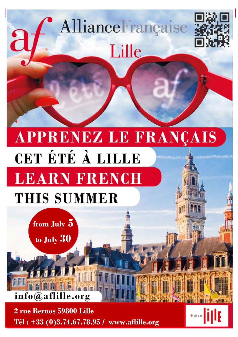

**2 rue Bernos 59800 Lille Tél : +33 (0)3.74.67.78.95 / www.aflille.org**

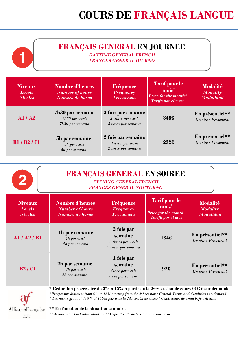### **FRANÇAIS GENERAL EN JOURNEE**

*DAYTIME GENERAL FRENCH FRANCÉS GENERAL DIURNO*

| <b>Niveaux</b><br><b>Levels</b><br><b>Niveles</b> | <b>Nombre d'heures</b><br><b>Number of hours</b><br>Número de horas | Fréquence<br><b>Frequency</b><br><b>Frecuencia</b>           | <b>Tarif pour le</b><br>mois <sup>*</sup><br>Price for the month*<br>Tarifa por el mes* | <b>Modalité</b><br><b>Modality</b><br><b>Modalidad</b> |
|---------------------------------------------------|---------------------------------------------------------------------|--------------------------------------------------------------|-----------------------------------------------------------------------------------------|--------------------------------------------------------|
| AI/ A2                                            | <b>7h30 par semaine</b><br>7h30 per week<br>7h30 por semana         | 3 fois par semaine<br>3 times per week<br>3 veces por semana | 3486                                                                                    | En présentiel**<br>On site / Presencial                |
| <b>B1/B2/C1</b>                                   | 5h par semaine<br>5h per week<br>5h por semana                      | 2 fois par semaine<br>Twice per week<br>2 veces por semana   | 232f                                                                                    | En présentiel**<br>On site / Presencial                |

| $\mathbf{2}$                                      | <b>FRANÇAIS GENERAL EN SOIREE</b><br><b>EVENING GENERAL FRENCH</b><br>FRANCÉS GENERAL NOCTURNO                                                                                                                                                                                                                                      |                                                                   |                                                                                                     |                                                        |
|---------------------------------------------------|-------------------------------------------------------------------------------------------------------------------------------------------------------------------------------------------------------------------------------------------------------------------------------------------------------------------------------------|-------------------------------------------------------------------|-----------------------------------------------------------------------------------------------------|--------------------------------------------------------|
| <b>Niveaux</b><br><b>Levels</b><br><b>Niveles</b> | <b>Nombre d'heures</b><br><b>Number of hours</b><br>Número de horas                                                                                                                                                                                                                                                                 | Fréquence<br><b>Frequency</b><br><b>Frecuencia</b>                | <b>Tarif pour le</b><br>mois <sup>*</sup><br><b>Price for the month</b><br><b>Tarifa por el mes</b> | <b>Modalité</b><br><b>Modality</b><br><b>Modalidad</b> |
| AI/ A2/ B1                                        | <b>4h par semaine</b><br>4h per week<br>4h por semana                                                                                                                                                                                                                                                                               | 2 fois par<br>semaine<br>2 times per week<br>$2$ veces por semana | 184€                                                                                                | En présentiel**<br>On site / Presencial                |
| <b>B2/C1</b>                                      | 2h par semaine<br>2h per week<br>2h por semana                                                                                                                                                                                                                                                                                      | 1 fois par<br>semaine<br>Once per week<br>1 vez por semana        | 92f                                                                                                 | En présentiel**<br>On site / Presencial                |
|                                                   | * Réduction progressive de 5% à 15% à partir de la 2 <sup>ème</sup> session de cours / CGV sur demande<br>*Progressive discount from 5% to 15% starting from the 2nd session / General Terms and Conditions on demand<br>* Descuento gradual de 5% al 15% a partir de la 2da sesión de clases / Condiciones de venta bajo solicitud |                                                                   |                                                                                                     |                                                        |

AllianceFrançaise **\*\* En fonction de la situation sanitaire** *\*\*According to the health situation/\*\*Dependiendo de la situación sanitaria* Lille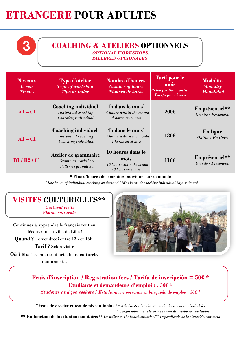# **ETRANGERE POUR ADULTES**

## **COACHING & ATELIERS OPTIONNELS**

*OPTIONAL WORKSHOPS:*

*TALLERES OPCIONALES:*

| <b>Niveaux</b><br><b>Levels</b><br><b>Niveles</b> | <b>Type d'atelier</b><br><b>Type of workshop</b><br><b>Tipo de taller</b> | <b>Nombre d'heures</b><br><b>Number of hours</b><br>Número de horas           | <b>Tarif pour le</b><br>mois<br><b>Price for the month</b><br>Tarifa por el mes | <b>Modalité</b><br><b>Modality</b><br><b>Modalidad</b> |
|---------------------------------------------------|---------------------------------------------------------------------------|-------------------------------------------------------------------------------|---------------------------------------------------------------------------------|--------------------------------------------------------|
| $A1 - C1$                                         | Coaching individuel<br>Individual coaching<br>Coaching individual         | 4h dans le mois <sup>*</sup><br>4 hours within the month<br>4 horas en el mes | 200f                                                                            | En présentiel**<br>On site / Presencial                |
| $A1 - C1$                                         | Coaching individuel<br>Individual coaching<br>Coaching individual         | 4h dans le mois <sup>*</sup><br>4 hours within the month<br>4 horas en el mes | 180f                                                                            | En ligne<br>Online / En línea                          |
| <b>B1/B2/C1</b>                                   | Atelier de grammaire<br>Grammar workshop<br>Taller de gramática           | 10 heures dans le<br>mois<br>10 hours within the month<br>10 horas en el mes  | 116f                                                                            | En présentiel**<br>On site / Presencial                |

**\* Plus d'heures de coaching individuel sur demande**

*More hours of individual coaching on demand / Más horas de coaching individual bajo solicitud*

## **VISITES CULTURELLES\*\***

*Cultural visits Visitas culturals*

Continuez à apprendre le français tout en découvrant la ville de Lille ! **Quand ?** Le vendredi entre 13h et 16h.

**Tarif ?** Selon visite

**Où ?** Musées, galeries d'arts, lieux culturels, monuments.



#### **Frais d'inscription / Registration fees / Tarifa de inscripción = 50€ \* Etudiants et demandeurs d'emploi :** *:* **30€ \***

*Students and job seekers / Estudiantes y personas en búsqueda de empleo : 30€ \**

\***Frais de dossier et test de niveau inclus** */ \* Administrative charges and placement test included / \* Cargos administrativos y examen de nivelación incluidos*

**\*\* En fonction de la situation sanitaire/***\*\*According to the health situation/\*\*Dependiendo de la situación sanitaria*